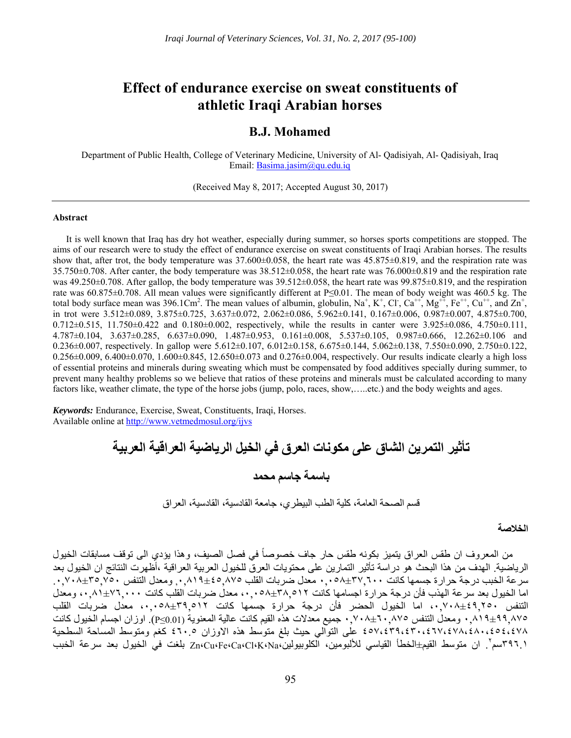# **Effect of endurance exercise on sweat constituents of athletic Iraqi Arabian horses**

## **B.J. Mohamed**

Department of Public Health, College of Veterinary Medicine, University of Al- Qadisiyah, Al- Qadisiyah, Iraq Email: Basima.jasim@qu.edu.iq

(Received May 8, 2017; Accepted August 30, 2017)

#### **Abstract**

It is well known that Iraq has dry hot weather, especially during summer, so horses sports competitions are stopped. The aims of our research were to study the effect of endurance exercise on sweat constituents of Iraqi Arabian horses. The results show that, after trot, the body temperature was  $37.600\pm0.058$ , the heart rate was  $45.875\pm0.819$ , and the respiration rate was  $35.750\pm0.708$ . After canter, the body temperature was  $38.512\pm0.058$ , the heart rate was  $76.000\pm0.819$  and the respiration rate was  $49.250\pm0.708$ . After gallop, the body temperature was  $39.512\pm0.058$ , the heart rate was  $99.875\pm0.819$ , and the respiration rate was 60.875±0.708. All mean values were significantly different at P≤0.01. The mean of body weight was 460.5 kg. The total body surface mean was 396.1Cm<sup>2</sup>. The mean values of albumin, globulin, Na<sup>+</sup>, K<sup>+</sup>, Cl<sup>-</sup>, Ca<sup>++</sup>, Mg<sup>++</sup>, Fe<sup>++</sup>, Cu<sup>++</sup>, and Zn<sup>+</sup>, in trot were 3.512±0.089, 3.875±0.725, 3.637±0.072, 2.062±0.086, 5.962±0.141, 0.167±0.006, 0.987±0.007, 4.875±0.700, 0.712 $\pm$ 0.515, 11.750 $\pm$ 0.422 and 0.180 $\pm$ 0.002, respectively, while the results in canter were 3.925 $\pm$ 0.086, 4.750 $\pm$ 0.111, 4.787±0.104, 3.637±0.285, 6.637±0.090, 1.487±0.953, 0.161±0.008, 5.537±0.105, 0.987±0.666, 12.262±0.106 and 0.236 $\pm$ 0.007, respectively. In gallop were 5.612 $\pm$ 0.107, 6.012 $\pm$ 0.158, 6.675 $\pm$ 0.144, 5.062 $\pm$ 0.138, 7.550 $\pm$ 0.090, 2.750 $\pm$ 0.122,  $0.256\pm0.009$ ,  $6.400\pm0.070$ ,  $1.600\pm0.845$ ,  $12.650\pm0.073$  and  $0.276\pm0.004$ , respectively. Our results indicate clearly a high loss of essential proteins and minerals during sweating which must be compensated by food additives specially during summer, to prevent many healthy problems so we believe that ratios of these proteins and minerals must be calculated according to many factors like, weather climate, the type of the horse jobs (jump, polo, races, show,…..etc.) and the body weights and ages.

*Keywords:* Endurance, Exercise, Sweat, Constituents, Iraqi, Horses. Available online at http://www.vetmedmosul.org/ijvs

> **تأثير التمرين الشاق على مكونات العرق في الخيل الرياضية العراقية العربية باسمة جاسم محمد**

> > قسم الصحة العامة، كلية الطب البيطري، جامعة القادسية، القادسية، العراق

#### **الخالصة**

من المعروف ان طقس العراق يتميز بكونه طقس حار جاف خصوصاً في فصل الصيف، وهذا يؤدي الى توقف مسابقات الخيول الرياضية. الھدف من ھذا البحث ھو دراسة تأثير التمارين على محتويات العرق للخيول العربية العراقية ،أظھرت النتائج ان الخيول بعد سرعة الخبب درجة حرارة جسمھا كانت ٠,٠٥٨±٣٧,٦٠٠ معدل ضربات القلب ,٠,٨١٩±٤٥,٨٧٥ ومعدل التنفس .٠,٧٠٨±٣٥,٧٥٠ اما الخيول بعد سرعة الھذب فأن درجة حرارة اجسامھا كانت ،٠,٠٥٨±٣٨,٥١٢ معدل ضربات القلب كانت ،٠,٨١±٧٦,٠٠٠ ومعدل التنفس ،٠,٧٠٨±٤٩,٢٥٠ اما الخيول الحضر فأن درجة حرارة جسمھا كانت ،٠,٠٥٨±٣٩,٥١٢ معدل ضربات القلب ٠,٨١٩±٩٩,٨٧٥ ومعدل التنفس ٠,٧٠٨±٦٠,٨٧٥ جميع معدالت ھذه القيم كانت عالية المعنوية (0.01≥P(. اوزان اجسام الخيول كانت ٤٥٧،٤٣٩،٤٣٠،٤٦٧،٤٧٨،٤٨٠،٤٥٤،٤٧٨ على التوالي حيث بلغ متوسط ھذه االوزان ٤٦٠.٥ كغم ومتوسط المساحة السطحية . ان متوسط القيم±الخطأ القياسي لأللبومين، الكلوبيولين،Na،K،Cl،Ca،Fe،Cu،Zn بلغت في الخيول بعد سرعة الخبب <sup>٢</sup> ٣٩٦.١سم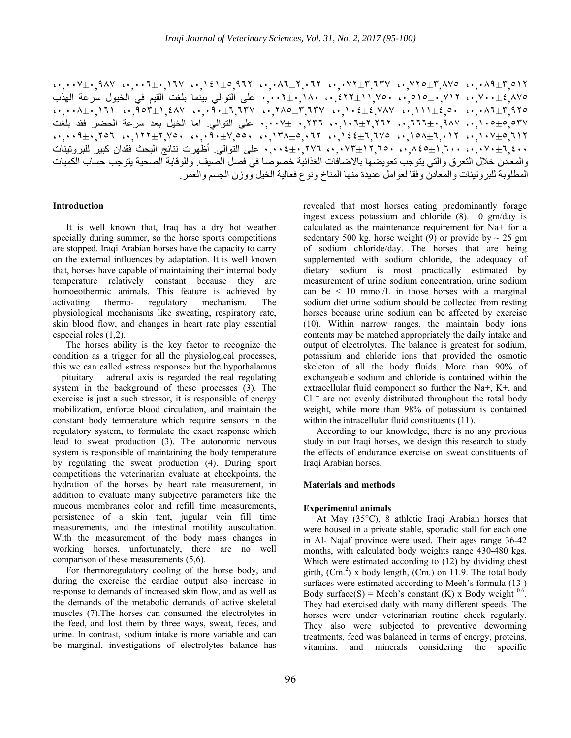،٠,٠٠٧±٠,٩٨٧ ،٠,٠٠٦±٠,١٦٧ ،٠,١٤١±٥,٩٦٢ ،٠,٠٨٦±٢,٠٦٢ ،٠,٠٧٢±٣,٦٣٧ ،٠,٧٢٥±٣,٨٧٥ ،٠,٠٨٩±٣,٥١٢ ،٠,٧٠٠±٤,٨٧٥ ،٠,٥١٥±٠,٧١٢ ،٠,٤٢٢±١١,٧٥٠ ٠,٠٠٢±٠,١٨٠ على التوالي بينما بلغت القيم في الخيول سرعة الھذب ،٠,٠٠٨±٠,١٦١ ،٠,٩٥٣±١,٤٨٧ ،٠,٠٩٠±٦,٦٣٧ ،٠,٢٨٥±٣,٦٣٧ ،٠,١٠٤±٤,٧٨٧ ،٠,١١١±٤,٥٠ ،٠,٠٨٦±٣,٩٢٥ ،٠,١٠٥±٥,٥٣٧ ،٠,٦٦٦±٠,٩٨٧ ،٠,١٠٦±٢,٢٦٢ ٠,٢٣٦ ٠,٠٠٧± على التوالي. اما الخيل بعد سرعة الحضر فقد بلغت  $\cdots$ 9 $\pm$ ,  $\cdot$ ,  $\cdot$ ,  $\cdot$ ,  $\cdot\cdot\cdot$ ,  $\cdot\cdot\cdot$ ,  $\cdot\cdot\cdot$ ,  $\cdot\cdot\cdot$ ,  $\cdot\cdot\cdot$ ,  $\cdot\cdot\cdot$ ,  $\cdot\cdot\cdot$ ,  $\cdot\cdot\cdot$ ,  $\cdot\cdot\cdot$ ,  $\cdot\cdot\cdot$ ,  $\cdot\cdot\cdot$ ,  $\cdot\cdot\cdot$ ,  $\cdot\cdot\cdot$ ,  $\cdot\cdot\cdot$ ,  $\cdot\cdot\cdot$ ,  $\cdot\cdot\cdot$ ,  $\cdot\cdot\cdot$ ,  $\cdot\cdot\cdot$ ,  $\cdot\cdot\cdot$ , ،٠,٠٧٠±٦,٤٠٠ ،٠,٨٤٥±١,٦٠٠ ،٠,٠٧٣±١٢,٦٥٠ ٠,٠٠٤±٠,٢٧٦ على التوالي. أظھرت نتائج البحث فقدان كبير للبروتينات والمعادن خالل التعرق والتي يتوجب تعويضھا باالضافات الغذائية خصوصا في فصل الصيف. وللوقاية الصحية يتوجب حساب الكميات المطلوبة للبروتينات والمعادن وفقا لعوامل عديدة منھا المناخ ونوع فعالية الخيل ووزن الجسم والعمر.

It is well known that, Iraq has a dry hot weather specially during summer, so the horse sports competitions are stopped. Iraqi Arabian horses have the capacity to carry on the external influences by adaptation. It is well known that, horses have capable of maintaining their internal body temperature relatively constant because they are homoeothermic animals. This feature is achieved by activating thermo- regulatory mechanism. The physiological mechanisms like sweating, respiratory rate, skin blood flow, and changes in heart rate play essential especial roles (1,2).

The horses ability is the key factor to recognize the condition as a trigger for all the physiological processes, this we can called «stress response» but the hypothalamus – pituitary – adrenal axis is regarded the real regulating system in the background of these processes (3). The exercise is just a such stressor, it is responsible of energy mobilization, enforce blood circulation, and maintain the constant body temperature which require sensors in the regulatory system, to formulate the exact response which lead to sweat production (3). The autonomic nervous system is responsible of maintaining the body temperature by regulating the sweat production (4). During sport competitions the veterinarian evaluate at checkpoints, the hydration of the horses by heart rate measurement, in addition to evaluate many subjective parameters like the mucous membranes color and refill time measurements, persistence of a skin tent, jugular vein fill time measurements, and the intestinal motility auscultation. With the measurement of the body mass changes in working horses, unfortunately, there are no well comparison of these measurements (5,6).

For thermoregulatory cooling of the horse body, and during the exercise the cardiac output also increase in response to demands of increased skin flow, and as well as the demands of the metabolic demands of active skeletal muscles (7).The horses can consumed the electrolytes in the feed, and lost them by three ways, sweat, feces, and urine. In contrast, sodium intake is more variable and can be marginal, investigations of electrolytes balance has

 **Introduction** revealed that most horses eating predominantly forage ingest excess potassium and chloride (8). 10 gm/day is calculated as the maintenance requirement for Na+ for a sedentary 500 kg. horse weight (9) or provide by  $\sim$  25 gm of sodium chloride/day. The horses that are being supplemented with sodium chloride, the adequacy of dietary sodium is most practically estimated by measurement of urine sodium concentration, urine sodium can be  $\leq$  10 mmol/L in those horses with a marginal sodium diet urine sodium should be collected from resting horses because urine sodium can be affected by exercise (10). Within narrow ranges, the maintain body ions contents may be matched appropriately the daily intake and output of electrolytes. The balance is greatest for sodium, potassium and chloride ions that provided the osmotic skeleton of all the body fluids. More than 90% of exchangeable sodium and chloride is contained within the extracellular fluid component so further the Na+, K+, and  $Cl$   $\bar{C}$  are not evenly distributed throughout the total body weight, while more than 98% of potassium is contained within the intracellular fluid constituents (11).

> According to our knowledge, there is no any previous study in our Iraqi horses, we design this research to study the effects of endurance exercise on sweat constituents of Iraqi Arabian horses.

#### **Materials and methods**

#### **Experimental animals**

At May (35°C), 8 athletic Iraqi Arabian horses that were housed in a private stable, sporadic stall for each one in Al- Najaf province were used. Their ages range 36-42 months, with calculated body weights range 430-480 kgs. Which were estimated according to (12) by dividing chest girth,  $(Cm^2)$  x body length,  $(Cm)$  on 11.9. The total body surfaces were estimated according to Meeh's formula (13 ) Body surface(S) = Meeh's constant (K) x Body weight  $0.6$ . They had exercised daily with many different speeds. The horses were under veterinarian routine check regularly. They also were subjected to preventive deworming treatments, feed was balanced in terms of energy, proteins, vitamins, and minerals considering the specific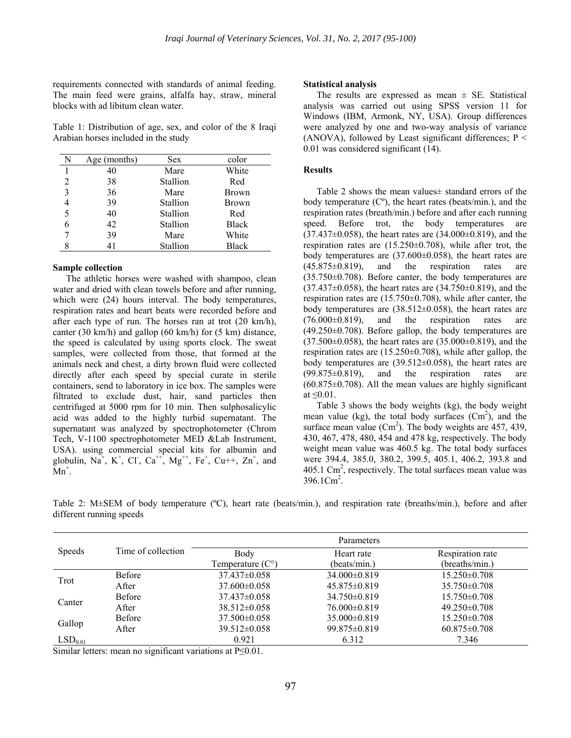requirements connected with standards of animal feeding. The main feed were grains, alfalfa hay, straw, mineral blocks with ad libitum clean water.

Table 1: Distribution of age, sex, and color of the 8 Iraqi Arabian horses included in the study

| N | Age (months) | <b>Sex</b> | color        |
|---|--------------|------------|--------------|
| 1 | 40           | Mare       | White        |
| 2 | 38           | Stallion   | Red          |
| 3 | 36           | Mare       | <b>Brown</b> |
| 4 | 39           | Stallion   | Brown        |
| 5 | 40           | Stallion   | Red          |
| 6 | 42           | Stallion   | <b>Black</b> |
|   | 39           | Mare       | White        |
|   | 41           | Stallion   | <b>Black</b> |

#### **Sample collection**

The athletic horses were washed with shampoo, clean water and dried with clean towels before and after running, which were  $(24)$  hours interval. The body temperatures, respiration rates and heart beats were recorded before and after each type of run. The horses ran at trot (20 km/h), canter (30 km/h) and gallop (60 km/h) for (5 km) distance, the speed is calculated by using sports clock. The sweat samples, were collected from those, that formed at the animals neck and chest, a dirty brown fluid were collected directly after each speed by special curate in sterile containers, send to laboratory in ice box. The samples were filtrated to exclude dust, hair, sand particles then centrifuged at 5000 rpm for 10 min. Then sulphosalicylic acid was added to the highly turbid supernatant. The supernatant was analyzed by spectrophotometer (Chrom Tech, V-1100 spectrophotometer MED &Lab Instrument, USA). using commercial special kits for albumin and globulin, Na<sup>+</sup>, K<sup>+</sup>, Cl<sup>-</sup>, Ca<sup>++</sup>, Mg<sup>++</sup>, Fe<sup>+</sup>, Cu+++, Zn<sup>+</sup>, and  $\text{Mn}^+$ .

#### **Statistical analysis**

The results are expressed as mean  $\pm$  SE. Statistical analysis was carried out using SPSS version 11 for Windows (IBM, Armonk, NY, USA). Group differences were analyzed by one and two-way analysis of variance (ANOVA), followed by Least significant differences;  $P \leq$ 0.01 was considered significant (14).

#### **Results**

Table 2 shows the mean values± standard errors of the body temperature  $(C<sup>o</sup>)$ , the heart rates (beats/min.), and the respiration rates (breath/min.) before and after each running speed. Before trot, the body temperatures are (37.437±0.058), the heart rates are (34.000±0.819), and the respiration rates are (15.250±0.708), while after trot, the body temperatures are (37.600±0.058), the heart rates are  $(45.875\pm0.819)$ , and the respiration rates are (35.750±0.708). Before canter, the body temperatures are (37.437±0.058), the heart rates are (34.750±0.819), and the respiration rates are (15.750±0.708), while after canter, the body temperatures are  $(38.512\pm0.058)$ , the heart rates are  $(76.000\pm0.819)$ , and the respiration rates are  $(49.250\pm0.708)$ . Before gallop, the body temperatures are  $(37.500\pm0.058)$ , the heart rates are  $(35.000\pm0.819)$ , and the respiration rates are (15.250±0.708), while after gallop, the body temperatures are (39.512±0.058), the heart rates are  $(99.875\pm0.819)$ , and the respiration rates are  $(60.875\pm0.708)$ . All the mean values are highly significant at  $\leq 0.01$ .

Table 3 shows the body weights (kg), the body weight mean value (kg), the total body surfaces  $(Cm^2)$ , and the surface mean value  $(Cm^2)$ . The body weights are 457, 439, 430, 467, 478, 480, 454 and 478 kg, respectively. The body weight mean value was 460.5 kg. The total body surfaces were 394.4, 385.0, 380.2, 399.5, 405.1, 406.2, 393.8 and 405.1  $\text{Cm}^2$ , respectively. The total surfaces mean value was  $396.1 \text{Cm}^2$ .

Table 2: M±SEM of body temperature (ºC), heart rate (beats/min.), and respiration rate (breaths/min.), before and after different running speeds

|                     |                    | Parameters                |                    |                    |  |  |  |  |
|---------------------|--------------------|---------------------------|--------------------|--------------------|--|--|--|--|
| <b>Speeds</b>       | Time of collection | Body                      | Heart rate         | Respiration rate   |  |  |  |  |
|                     |                    | Temperature $(C^{\circ})$ | (beats/min.)       | (breaths/min.)     |  |  |  |  |
| Trot                | <b>Before</b>      | $37.437\pm0.058$          | 34.000±0.819       | $15.250 \pm 0.708$ |  |  |  |  |
|                     | After              | $37.600 \pm 0.058$        | $45.875 \pm 0.819$ | $35.750\pm0.708$   |  |  |  |  |
| Canter              | <b>Before</b>      | $37.437\pm0.058$          | $34.750\pm0.819$   | $15.750 \pm 0.708$ |  |  |  |  |
|                     | After              | $38.512\pm0.058$          | $76.000\pm0.819$   | $49.250 \pm 0.708$ |  |  |  |  |
| Gallop              | <b>Before</b>      | $37.500 \pm 0.058$        | $35.000\pm0.819$   | $15.250 \pm 0.708$ |  |  |  |  |
|                     | After              | $39.512 \pm 0.058$        | 99.875 ± 0.819     | $60.875 \pm 0.708$ |  |  |  |  |
| LSD <sub>0.01</sub> |                    | 0.921                     | 6.312              | 7.346              |  |  |  |  |

Similar letters: mean no significant variations at P≤0.01.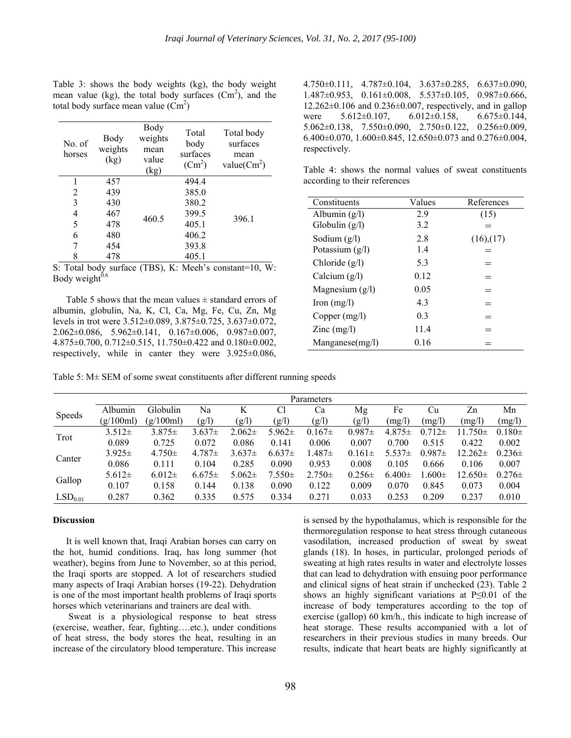Table 3: shows the body weights (kg), the body weight mean value (kg), the total body surfaces  $(Cm^2)$ , and the total body surface mean value  $(Cm^2)$ 

| No. of<br>horses | Body<br>weights<br>(kg) | Body<br>weights<br>mean<br>value<br>(kg) | Total<br>body<br>surfaces<br>$(Cm^2)$ | Total body<br>surfaces<br>mean<br>value( $\text{Cm}^2$ ) |
|------------------|-------------------------|------------------------------------------|---------------------------------------|----------------------------------------------------------|
|                  | 457                     |                                          | 494.4                                 |                                                          |
| 2                | 439                     |                                          | 385.0                                 |                                                          |
| 3                | 430                     |                                          | 380.2                                 |                                                          |
| 4                | 467                     | 460.5                                    | 399.5                                 | 396.1                                                    |
| 5                | 478                     |                                          | 405.1                                 |                                                          |
| 6                | 480                     |                                          | 406.2                                 |                                                          |
| 7                | 454                     |                                          | 393.8                                 |                                                          |
| 8                | 478                     |                                          | 405.1                                 |                                                          |

S: Total body surface (TBS), K: Meeh's constant=10, W: Body weight $^{0.6}$ 

Table 5 shows that the mean values  $\pm$  standard errors of albumin, globulin, Na, K, Cl, Ca, Mg, Fe, Cu, Zn, Mg levels in trot were 3.512±0.089, 3.875±0.725, 3.637±0.072, 2.062 $\pm$ 0.086, 5.962 $\pm$ 0.141, 0.167 $\pm$ 0.006, 0.987 $\pm$ 0.007, 4.875±0.700, 0.712±0.515, 11.750±0.422 and 0.180±0.002, respectively, while in canter they were 3.925±0.086, 4.750±0.111, 4.787±0.104, 3.637±0.285, 6.637±0.090, 1.487 $\pm$ 0.953, 0.161 $\pm$ 0.008, 5.537 $\pm$ 0.105, 0.987 $\pm$ 0.666,  $12.262\pm0.106$  and  $0.236\pm0.007$ , respectively, and in gallop were  $5.612 \pm 0.107$ ,  $6.012 \pm 0.158$ ,  $6.675 \pm 0.144$ , 5.062±0.138, 7.550±0.090, 2.750±0.122, 0.256±0.009, 6.400 $\pm$ 0.070, 1.600 $\pm$ 0.845, 12.650 $\pm$ 0.073 and 0.276 $\pm$ 0.004, respectively.

Table 4: shows the normal values of sweat constituents according to their references

| Constituents                              | Values         | References      |
|-------------------------------------------|----------------|-----------------|
| Albumin $(g/l)$                           | 2.9            | (15)            |
| Globulin $(g/l)$                          | 3.2            |                 |
| Sodium $(g/l)$                            | 2.8            | $(16)$ , $(17)$ |
| Potassium $(g/l)$                         | 1.4            | $=$             |
| Chloride (g/l)                            | 5.3            |                 |
| Calcium $(g/l)$                           | 0.12           |                 |
| Magnesium $(g/l)$                         | 0.05           |                 |
| $\text{Iron (mg/l)}$                      | 43             | $=$             |
| Copper $(mg/l)$                           | 0 <sub>3</sub> | $=$             |
| $\text{Zinc} \left( \frac{mg}{l} \right)$ | 11.4           |                 |
| Manganese(mg/l)                           | 0.16           |                 |

Table 5: M± SEM of some sweat constituents after different running speeds

|                     | Parameters  |             |             |             |             |             |             |             |             |              |             |
|---------------------|-------------|-------------|-------------|-------------|-------------|-------------|-------------|-------------|-------------|--------------|-------------|
| <b>Speeds</b>       | Albumin     | Globulin    | Na          | K           | Cl          | Ca          | Mg          | Fe          | Cu          | Zn           | Mn          |
|                     | (g/100ml)   | (g/100ml)   | (g/l)       | (g/l)       | (g/l)       | (g/l)       | (g/l)       | (mg/l)      | (mg/l)      | (mg/l)       | (mg/l)      |
| Trot                | $3.512 \pm$ | $3.875\pm$  | $3.637\pm$  | $2.062\pm$  | $5.962 \pm$ | $0.167\pm$  | $0.987 \pm$ | $4.875\pm$  | $0.712 \pm$ | $11.750 \pm$ | $0.180 \pm$ |
|                     | 0.089       | 0.725       | 0.072       | 0.086       | 0.141       | 0.006       | 0.007       | 0.700       | 0.515       | 0.422        | 0.002       |
| Canter              | $3.925 \pm$ | $4.750 \pm$ | $4.787 \pm$ | $3.637 \pm$ | $6.637\pm$  | $.487 \pm$  | $0.161 \pm$ | $5.537\pm$  | $0.987 \pm$ | $12.262 \pm$ | $0.236\pm$  |
|                     | 0.086       | 0.111       | 0.104       | 0.285       | 0.090       | 0.953       | 0.008       | 0.105       | 0.666       | 0.106        | 0.007       |
| Gallop              | $5.612 \pm$ | $6.012\pm$  | $6.675\pm$  | $5.062\pm$  | $7.550 \pm$ | $2.750 \pm$ | $0.256 \pm$ | $6.400 \pm$ | .600 $\pm$  | $12.650 \pm$ | $0.276 \pm$ |
|                     | 0.107       | 0.158       | 0.144       | 0.138       | 0.090       | 0.122       | 0.009       | 0.070       | 0.845       | 0.073        | 0.004       |
| LSD <sub>0.01</sub> | 0.287       | 0.362       | 0.335       | 0.575       | 0.334       | 0.271       | 0.033       | 0.253       | 0.209       | 0.237        | 0.010       |

### **Discussion**

It is well known that, Iraqi Arabian horses can carry on the hot, humid conditions. Iraq, has long summer (hot weather), begins from June to November, so at this period, the Iraqi sports are stopped. A lot of researchers studied many aspects of Iraqi Arabian horses (19-22). Dehydration is one of the most important health problems of Iraqi sports horses which veterinarians and trainers are deal with.

 Sweat is a physiological response to heat stress (exercise, weather, fear, fighting….etc.), under conditions of heat stress, the body stores the heat, resulting in an increase of the circulatory blood temperature. This increase is sensed by the hypothalamus, which is responsible for the thermoregulation response to heat stress through cutaneous vasodilation, increased production of sweat by sweat glands (18). In hoses, in particular, prolonged periods of sweating at high rates results in water and electrolyte losses that can lead to dehydration with ensuing poor performance and clinical signs of heat strain if unchecked (23). Table 2 shows an highly significant variations at P≤0.01 of the increase of body temperatures according to the top of exercise (gallop) 60 km/h., this indicate to high increase of heat storage. These results accompanied with a lot of researchers in their previous studies in many breeds. Our results, indicate that heart beats are highly significantly at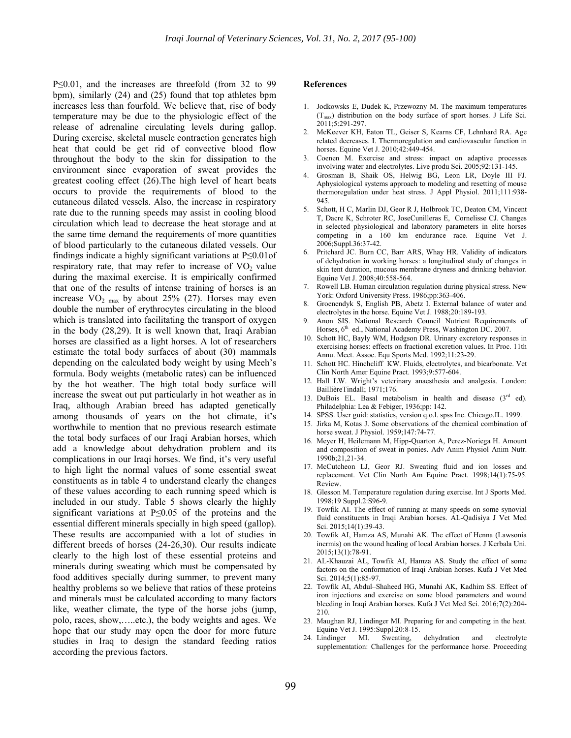P≤0.01, and the increases are threefold (from 32 to 99 bpm), similarly (24) and (25) found that top athletes bpm increases less than fourfold. We believe that, rise of body temperature may be due to the physiologic effect of the release of adrenaline circulating levels during gallop. During exercise, skeletal muscle contraction generates high heat that could be get rid of convective blood flow throughout the body to the skin for dissipation to the environment since evaporation of sweat provides the greatest cooling effect (26).The high level of heart beats occurs to provide the requirements of blood to the cutaneous dilated vessels. Also, the increase in respiratory rate due to the running speeds may assist in cooling blood circulation which lead to decrease the heat storage and at the same time demand the requirements of more quantities of blood particularly to the cutaneous dilated vessels. Our findings indicate a highly significant variations at P≤0.01of respiratory rate, that may refer to increase of  $VO<sub>2</sub>$  value during the maximal exercise. It is empirically confirmed that one of the results of intense training of horses is an increase  $VO<sub>2 max</sub>$  by about 25% (27). Horses may even double the number of erythrocytes circulating in the blood which is translated into facilitating the transport of oxygen in the body (28,29). It is well known that, Iraqi Arabian horses are classified as a light horses. A lot of researchers estimate the total body surfaces of about (30) mammals depending on the calculated body weight by using Meeh's formula. Body weights (metabolic rates) can be influenced by the hot weather. The high total body surface will increase the sweat out put particularly in hot weather as in Iraq, although Arabian breed has adapted genetically among thousands of years on the hot climate, it's worthwhile to mention that no previous research estimate the total body surfaces of our Iraqi Arabian horses, which add a knowledge about dehydration problem and its complications in our Iraqi horses. We find, it's very useful to high light the normal values of some essential sweat constituents as in table 4 to understand clearly the changes of these values according to each running speed which is included in our study. Table 5 shows clearly the highly significant variations at P≤0.05 of the proteins and the essential different minerals specially in high speed (gallop). These results are accompanied with a lot of studies in different breeds of horses (24-26,30). Our results indicate clearly to the high lost of these essential proteins and minerals during sweating which must be compensated by food additives specially during summer, to prevent many healthy problems so we believe that ratios of these proteins and minerals must be calculated according to many factors like, weather climate, the type of the horse jobs (jump, polo, races, show,…..etc.), the body weights and ages. We hope that our study may open the door for more future studies in Iraq to design the standard feeding ratios according the previous factors.

#### **References**

- 1. Jodkowsks E, Dudek K, Przewozny M. The maximum temperatures  $(T_{\text{max}})$  distribution on the body surface of sport horses. J Life Sci. 2011;5:291-297.
- 2. McKeever KH, Eaton TL, Geiser S, Kearns CF, Lehnhard RA. Age related decreases. I. Thermoregulation and cardiovascular function in horses. Equine Vet J. 2010;42:449-454.
- 3. Coenen M. Exercise and stress: impact on adaptive processes involving water and electrolytes. Live produ Sci. 2005;92:131-145.
- 4. Grosman B, Shaik OS, Helwig BG, Leon LR, Doyle III FJ. Aphysiological systems approach to modeling and resetting of mouse thermoregulation under heat stress. J Appl Physiol. 2011;111:938- 945.
- 5. Schott, H C, Marlin DJ, Geor R J, Holbrook TC, Deaton CM, Vincent T, Dacre K, Schroter RC, JoseCunilleras E, Cornelisse CJ. Changes in selected physiological and laboratory parameters in elite horses competing in a 160 km endurance race. Equine Vet J. 2006;Suppl.36:37-42.
- Pritchard JC. Burn CC, Barr ARS, Whay HR. Validity of indicators of dehydration in working horses: a longitudinal study of changes in skin tent duration, mucous membrane dryness and drinking behavior. Equine Vet J. 2008;40:558-564.
- 7. Rowell LB. Human circulation regulation during physical stress. New York: Oxford University Press. 1986;pp:363-406.
- 8. Groenendyk S, English PB, Abetz I. External balance of water and electrolytes in the horse. Equine Vet J. 1988;20:189-193.
- 9. Anon SIS. National Research Council Nutrient Requirements of Horses,  $6<sup>th</sup>$  ed., National Academy Press, Washington DC. 2007.
- 10. Schott HC, Bayly WM, Hodgson DR. Urinary excretory responses in exercising horses: effects on fractional excretion values. In Proc. 11th Annu. Meet. Assoc. Equ Sports Med. 1992;11:23-29.
- 11. Schott HC. Hinchcliff KW. Fluids, electrolytes, and bicarbonate. Vet Clin North Amer Equine Pract. 1993;9:577-604.
- 12. Hall LW. Wright's veterinary anaesthesia and analgesia. London: BaillièreTindall; 1971;176.
- 13. DuBois EL. Basal metabolism in health and disease  $(3<sup>rd</sup>$  ed). Philadelphia: Lea & Febiger, 1936;pp: 142.
- 14. SPSS. User guid: statistics, version q.o.l. spss Inc. Chicago.IL. 1999.
- 15. Jirka M, Kotas J. Some observations of the chemical combination of horse sweat. J Physiol. 1959;147:74-77.
- 16. Meyer H, Heilemann M, Hipp-Quarton A, Perez-Noriega H. Amount and composition of sweat in ponies. Adv Anim Physiol Anim Nutr. 1990b;21,21-34.
- 17. McCutcheon LJ, Geor RJ. Sweating fluid and ion losses and replacement. Vet Clin North Am Equine Pract. 1998;14(1):75-95. Review.
- 18. Glesson M. Temperature regulation during exercise. Int J Sports Med. 1998;19 Suppl.2:S96-9.
- 19. Towfik AI. The effect of running at many speeds on some synovial fluid constituents in Iraqi Arabian horses. AL-Qadisiya J Vet Med Sci. 2015;14(1):39-43.
- 20. Towfik AI, Hamza AS, Munahi AK. The effect of Henna (Lawsonia inermis) on the wound healing of local Arabian horses. J Kerbala Uni. 2015;13(1):78-91.
- 21. AL-Khauzai AL, Towfik AI, Hamza AS. Study the effect of some factors on the conformation of Iraqi Arabian horses. Kufa J Vet Med Sci. 2014;5(1):85-97.
- 22. Towfik AI, Abdul–Shaheed HG, Munahi AK, Kadhim SS. Effect of iron injections and exercise on some blood parameters and wound bleeding in Iraqi Arabian horses. Kufa J Vet Med Sci. 2016;7(2):204- 210.
- 23. Maughan RJ, Lindinger MI. Preparing for and competing in the heat. Equine Vet J. 1995:Suppl.20:8-15.
- 24. Lindinger MI. Sweating, dehydration and electrolyte supplementation: Challenges for the performance horse. Proceeding